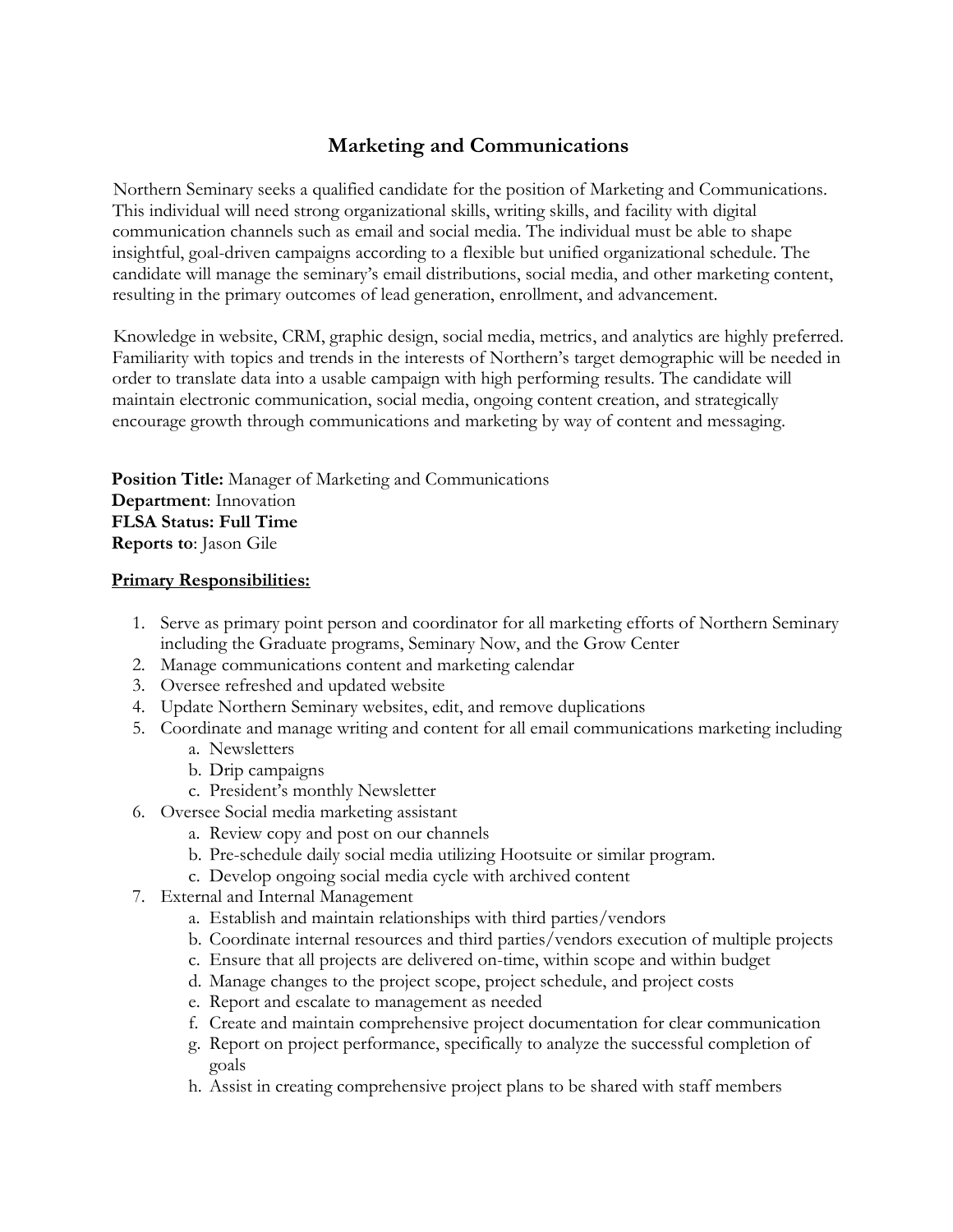# **Marketing and Communications**

Northern Seminary seeks a qualified candidate for the position of Marketing and Communications. This individual will need strong organizational skills, writing skills, and facility with digital communication channels such as email and social media. The individual must be able to shape insightful, goal-driven campaigns according to a flexible but unified organizational schedule. The candidate will manage the seminary's email distributions, social media, and other marketing content, resulting in the primary outcomes of lead generation, enrollment, and advancement.

Knowledge in website, CRM, graphic design, social media, metrics, and analytics are highly preferred. Familiarity with topics and trends in the interests of Northern's target demographic will be needed in order to translate data into a usable campaign with high performing results. The candidate will maintain electronic communication, social media, ongoing content creation, and strategically encourage growth through communications and marketing by way of content and messaging.

**Position Title:** Manager of Marketing and Communications **Department**: Innovation **FLSA Status: Full Time Reports to**: Jason Gile

#### **Primary Responsibilities:**

- 1. Serve as primary point person and coordinator for all marketing efforts of Northern Seminary including the Graduate programs, Seminary Now, and the Grow Center
- 2. Manage communications content and marketing calendar
- 3. Oversee refreshed and updated website
- 4. Update Northern Seminary websites, edit, and remove duplications
- 5. Coordinate and manage writing and content for all email communications marketing including a. Newsletters
	-
	- b. Drip campaigns
	- c. President's monthly Newsletter
- 6. Oversee Social media marketing assistant
	- a. Review copy and post on our channels
	- b. Pre-schedule daily social media utilizing Hootsuite or similar program.
	- c. Develop ongoing social media cycle with archived content
- 7. External and Internal Management
	- a. Establish and maintain relationships with third parties/vendors
	- b. Coordinate internal resources and third parties/vendors execution of multiple projects
	- c. Ensure that all projects are delivered on-time, within scope and within budget
	- d. Manage changes to the project scope, project schedule, and project costs
	- e. Report and escalate to management as needed
	- f. Create and maintain comprehensive project documentation for clear communication
	- g. Report on project performance, specifically to analyze the successful completion of goals
	- h. Assist in creating comprehensive project plans to be shared with staff members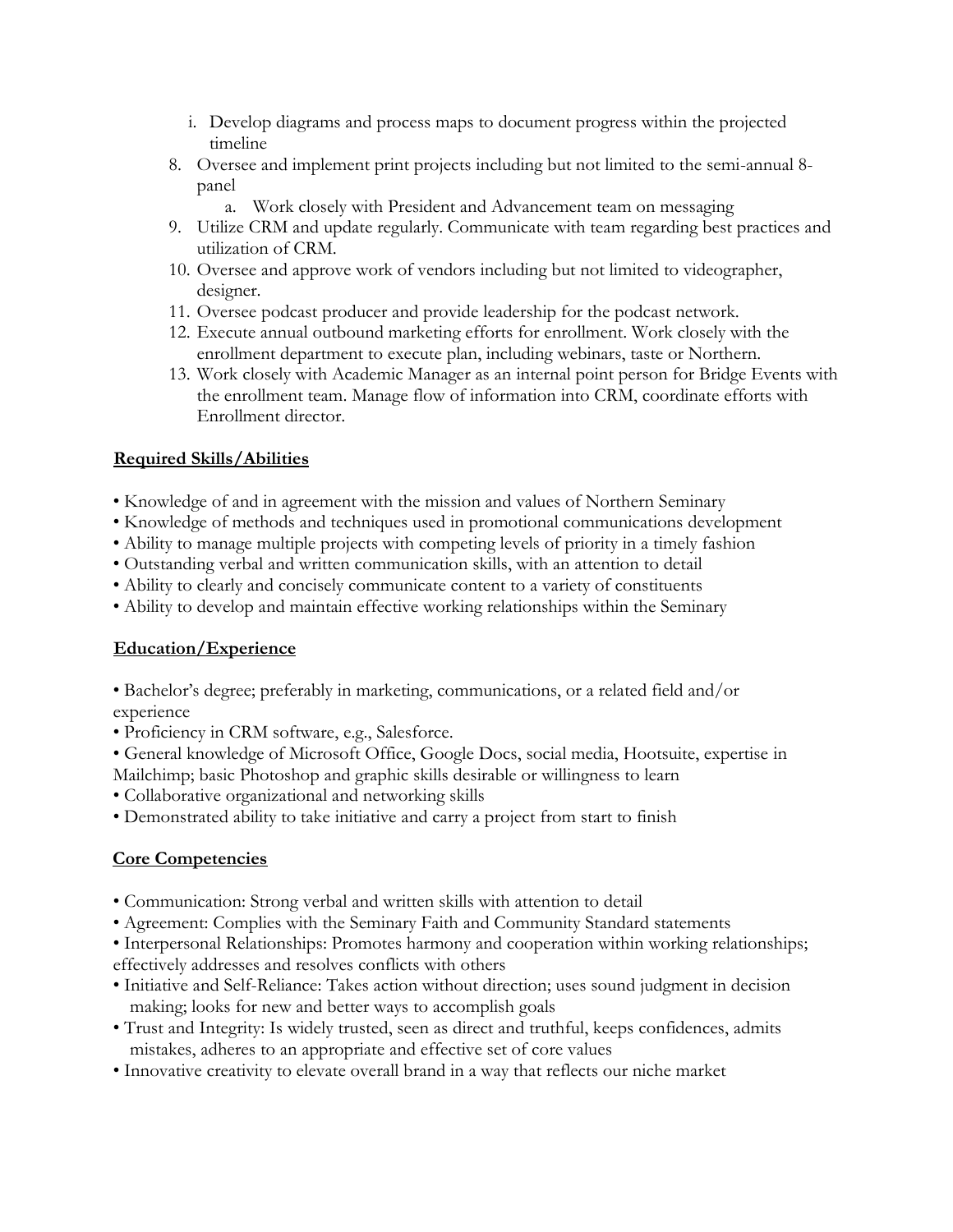- i. Develop diagrams and process maps to document progress within the projected timeline
- 8. Oversee and implement print projects including but not limited to the semi-annual 8 panel
	- a. Work closely with President and Advancement team on messaging
- 9. Utilize CRM and update regularly. Communicate with team regarding best practices and utilization of CRM.
- 10. Oversee and approve work of vendors including but not limited to videographer, designer.
- 11. Oversee podcast producer and provide leadership for the podcast network.
- 12. Execute annual outbound marketing efforts for enrollment. Work closely with the enrollment department to execute plan, including webinars, taste or Northern.
- 13. Work closely with Academic Manager as an internal point person for Bridge Events with the enrollment team. Manage flow of information into CRM, coordinate efforts with Enrollment director.

## **Required Skills/Abilities**

- Knowledge of and in agreement with the mission and values of Northern Seminary
- Knowledge of methods and techniques used in promotional communications development
- Ability to manage multiple projects with competing levels of priority in a timely fashion
- Outstanding verbal and written communication skills, with an attention to detail
- Ability to clearly and concisely communicate content to a variety of constituents
- Ability to develop and maintain effective working relationships within the Seminary

### **Education/Experience**

- Bachelor's degree; preferably in marketing, communications, or a related field and/or experience
- Proficiency in CRM software, e.g., Salesforce.
- General knowledge of Microsoft Office, Google Docs, social media, Hootsuite, expertise in Mailchimp; basic Photoshop and graphic skills desirable or willingness to learn
- Collaborative organizational and networking skills
- Demonstrated ability to take initiative and carry a project from start to finish

### **Core Competencies**

- Communication: Strong verbal and written skills with attention to detail
- Agreement: Complies with the Seminary Faith and Community Standard statements
- Interpersonal Relationships: Promotes harmony and cooperation within working relationships; effectively addresses and resolves conflicts with others
- Initiative and Self-Reliance: Takes action without direction; uses sound judgment in decision making; looks for new and better ways to accomplish goals
- Trust and Integrity: Is widely trusted, seen as direct and truthful, keeps confidences, admits mistakes, adheres to an appropriate and effective set of core values
- Innovative creativity to elevate overall brand in a way that reflects our niche market